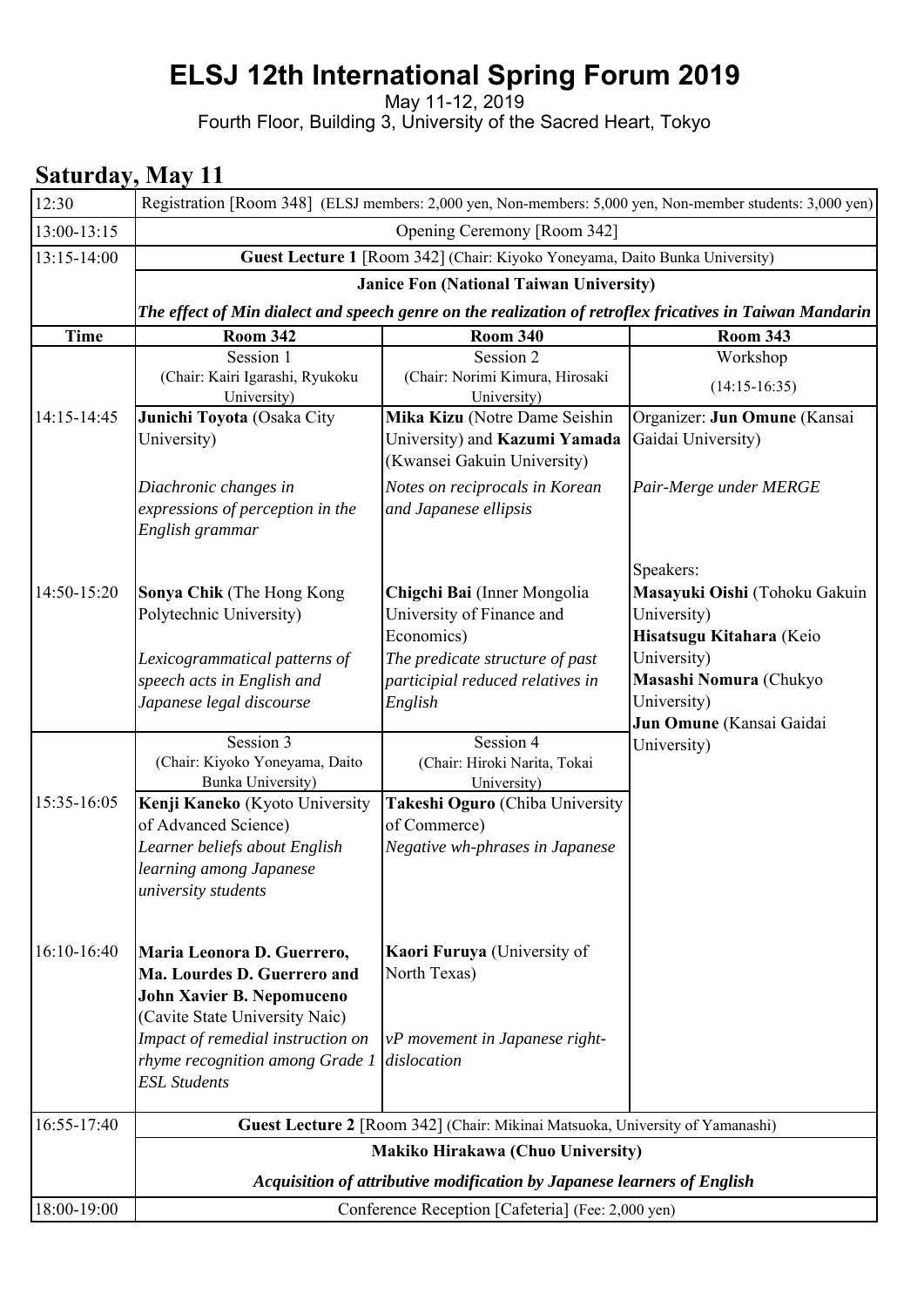# **ELSJ 12th International Spring Forum 2019**

May 11-12, 2019

Fourth Floor, Building 3, University of the Sacred Heart, Tokyo

### **Saturday, May 11**

| 12:30       |                                                                                                                                                               | Registration [Room 348] (ELSJ members: 2,000 yen, Non-members: 5,000 yen, Non-member students: 3,000 yen) |                                                                                                      |  |
|-------------|---------------------------------------------------------------------------------------------------------------------------------------------------------------|-----------------------------------------------------------------------------------------------------------|------------------------------------------------------------------------------------------------------|--|
| 13:00-13:15 |                                                                                                                                                               | Opening Ceremony [Room 342]                                                                               |                                                                                                      |  |
| 13:15-14:00 |                                                                                                                                                               | Guest Lecture 1 [Room 342] (Chair: Kiyoko Yoneyama, Daito Bunka University)                               |                                                                                                      |  |
|             |                                                                                                                                                               | <b>Janice Fon (National Taiwan University)</b>                                                            |                                                                                                      |  |
|             |                                                                                                                                                               | The effect of Min dialect and speech genre on the realization of retroflex fricatives in Taiwan Mandarin  |                                                                                                      |  |
| <b>Time</b> | <b>Room 342</b>                                                                                                                                               | <b>Room 340</b>                                                                                           | <b>Room 343</b>                                                                                      |  |
|             | Session 1<br>(Chair: Kairi Igarashi, Ryukoku<br>University)                                                                                                   | Session 2<br>(Chair: Norimi Kimura, Hirosaki<br>University)                                               | Workshop<br>$(14:15-16:35)$                                                                          |  |
| 14:15-14:45 | Junichi Toyota (Osaka City<br>University)                                                                                                                     | Mika Kizu (Notre Dame Seishin<br>University) and Kazumi Yamada<br>(Kwansei Gakuin University)             | Organizer: Jun Omune (Kansai<br>Gaidai University)                                                   |  |
|             | Diachronic changes in<br>expressions of perception in the<br>English grammar                                                                                  | Notes on reciprocals in Korean<br>and Japanese ellipsis                                                   | Pair-Merge under MERGE                                                                               |  |
| 14:50-15:20 | Sonya Chik (The Hong Kong<br>Polytechnic University)<br>Lexicogrammatical patterns of                                                                         | Chigchi Bai (Inner Mongolia<br>University of Finance and<br>Economics)<br>The predicate structure of past | Speakers:<br>Masayuki Oishi (Tohoku Gakuin<br>University)<br>Hisatsugu Kitahara (Keio<br>University) |  |
|             | speech acts in English and<br>Japanese legal discourse                                                                                                        | participial reduced relatives in<br>English                                                               | Masashi Nomura (Chukyo<br>University)<br>Jun Omune (Kansai Gaidai                                    |  |
|             | Session 3<br>(Chair: Kiyoko Yoneyama, Daito<br><b>Bunka University)</b>                                                                                       | Session 4<br>(Chair: Hiroki Narita, Tokai<br>University)                                                  | University)                                                                                          |  |
| 15:35-16:05 | Kenji Kaneko (Kyoto University<br>of Advanced Science)<br>Learner beliefs about English<br>learning among Japanese<br>university students                     | Takeshi Oguro (Chiba University<br>of Commerce)<br>Negative wh-phrases in Japanese                        |                                                                                                      |  |
| 16:10-16:40 | Maria Leonora D. Guerrero,<br>Ma. Lourdes D. Guerrero and<br>John Xavier B. Nepomuceno<br>(Cavite State University Naic)<br>Impact of remedial instruction on | Kaori Furuya (University of<br>North Texas)<br>vP movement in Japanese right-                             |                                                                                                      |  |
|             | rhyme recognition among Grade 1<br><b>ESL Students</b>                                                                                                        | dislocation                                                                                               |                                                                                                      |  |
| 16:55-17:40 |                                                                                                                                                               | Guest Lecture 2 [Room 342] (Chair: Mikinai Matsuoka, University of Yamanashi)                             |                                                                                                      |  |
|             |                                                                                                                                                               | Makiko Hirakawa (Chuo University)                                                                         |                                                                                                      |  |
|             |                                                                                                                                                               | Acquisition of attributive modification by Japanese learners of English                                   |                                                                                                      |  |
| 18:00-19:00 |                                                                                                                                                               | Conference Reception [Cafeteria] (Fee: 2,000 yen)                                                         |                                                                                                      |  |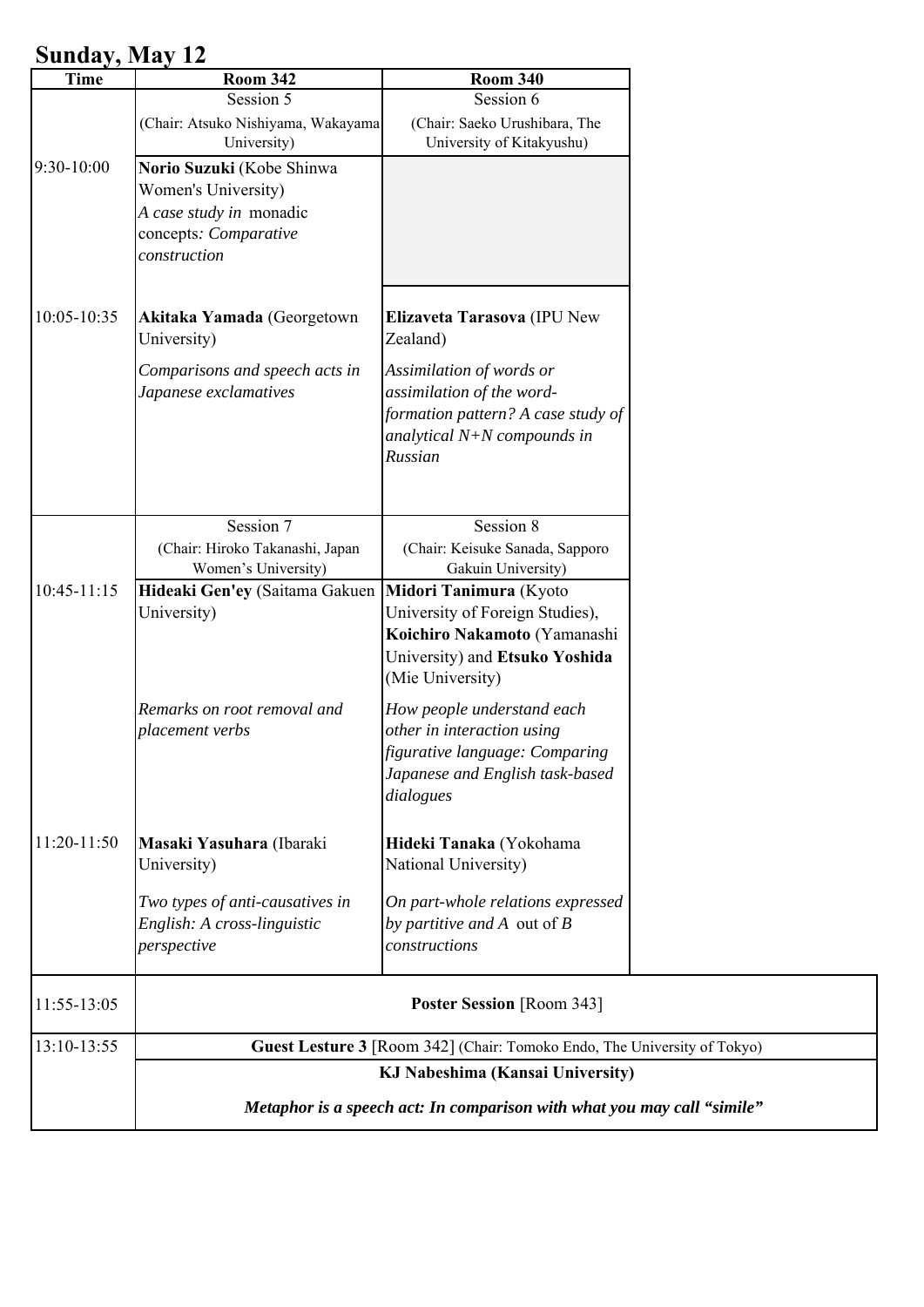## **Sunday, May 12**

| <b>Time</b>   | <b>Room 342</b>                                                                                                      | <b>Room 340</b>                                                                                                                                 |  |  |
|---------------|----------------------------------------------------------------------------------------------------------------------|-------------------------------------------------------------------------------------------------------------------------------------------------|--|--|
|               | Session 5                                                                                                            | Session 6                                                                                                                                       |  |  |
|               | (Chair: Atsuko Nishiyama, Wakayama<br>University)                                                                    | (Chair: Saeko Urushibara, The<br>University of Kitakyushu)                                                                                      |  |  |
| $9:30-10:00$  | Norio Suzuki (Kobe Shinwa<br>Women's University)<br>A case study in monadic<br>concepts: Comparative<br>construction |                                                                                                                                                 |  |  |
| 10:05-10:35   | Akitaka Yamada (Georgetown<br>University)                                                                            | Elizaveta Tarasova (IPU New<br>Zealand)                                                                                                         |  |  |
|               | Comparisons and speech acts in<br>Japanese exclamatives                                                              | Assimilation of words or<br>assimilation of the word-<br>formation pattern? A case study of<br>analytical $N+N$ compounds in<br>Russian         |  |  |
|               | Session 7                                                                                                            | Session 8                                                                                                                                       |  |  |
|               | (Chair: Hiroko Takanashi, Japan<br>Women's University)                                                               | (Chair: Keisuke Sanada, Sapporo<br>Gakuin University)                                                                                           |  |  |
| $10:45-11:15$ | Hideaki Gen'ey (Saitama Gakuen<br>University)                                                                        | Midori Tanimura (Kyoto<br>University of Foreign Studies),<br>Koichiro Nakamoto (Yamanashi<br>University) and Etsuko Yoshida<br>(Mie University) |  |  |
|               | Remarks on root removal and<br>placement verbs                                                                       | How people understand each<br>other in interaction using<br>figurative language: Comparing<br>Japanese and English task-based<br>dialogues      |  |  |
| 11:20-11:50   | Masaki Yasuhara (Ibaraki<br>University)                                                                              | Hideki Tanaka (Yokohama<br>National University)                                                                                                 |  |  |
|               | Two types of anti-causatives in<br>English: A cross-linguistic<br>perspective                                        | On part-whole relations expressed<br>by partitive and $A$ out of $B$<br>constructions                                                           |  |  |
| 11:55-13:05   |                                                                                                                      | <b>Poster Session</b> [Room 343]                                                                                                                |  |  |
| 13:10-13:55   |                                                                                                                      | Guest Lesture 3 [Room 342] (Chair: Tomoko Endo, The University of Tokyo)                                                                        |  |  |
|               |                                                                                                                      | KJ Nabeshima (Kansai University)<br>Metaphor is a speech act: In comparison with what you may call "simile"                                     |  |  |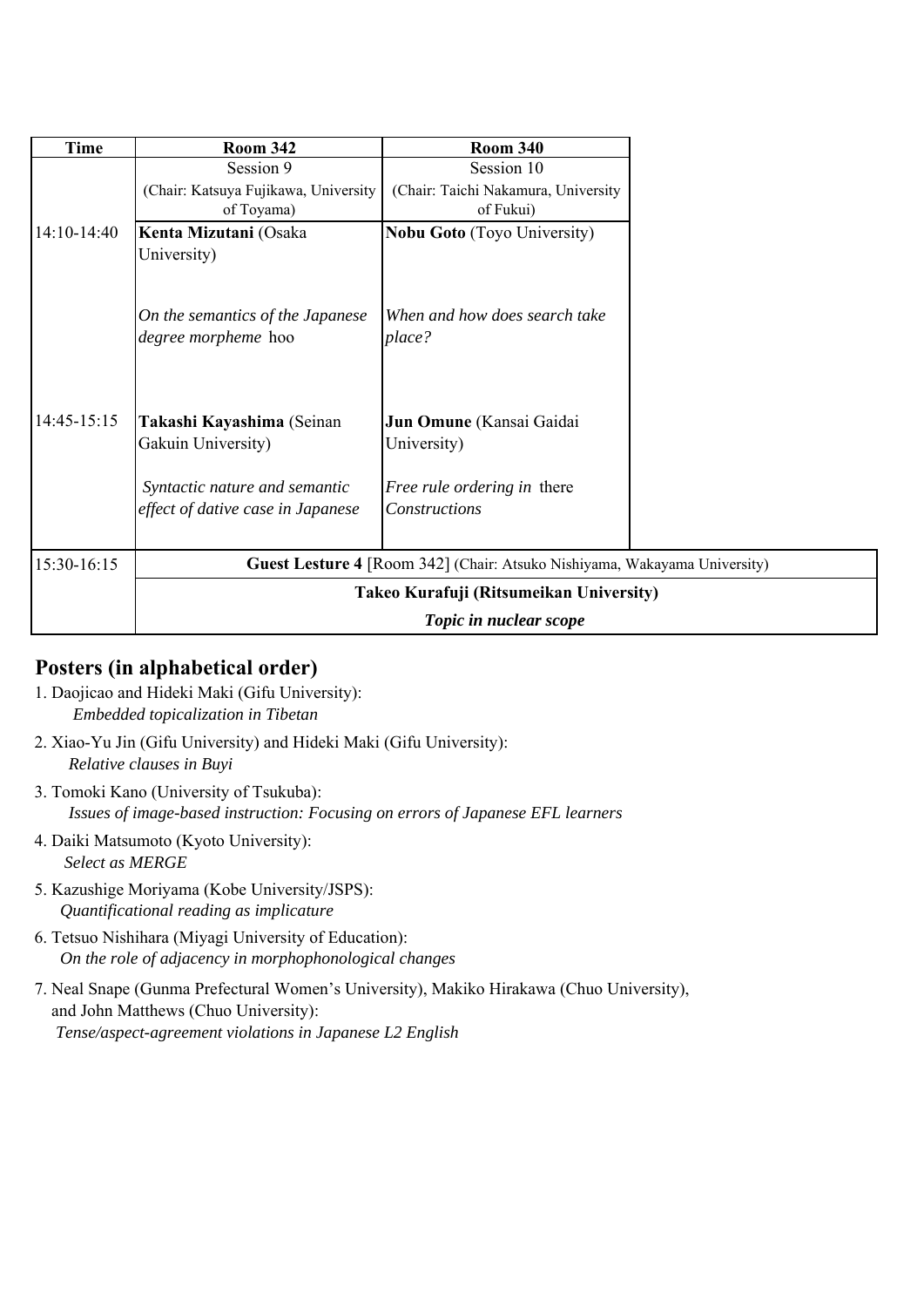| Time        | <b>Room 342</b>                                                    | <b>Room 340</b>                                                           |
|-------------|--------------------------------------------------------------------|---------------------------------------------------------------------------|
|             | Session 9                                                          | Session 10                                                                |
|             | (Chair: Katsuya Fujikawa, University                               | (Chair: Taichi Nakamura, University                                       |
|             | of Toyama)                                                         | of Fukui)                                                                 |
| 14:10-14:40 | Kenta Mizutani (Osaka<br>University)                               | <b>Nobu Goto</b> (Toyo University)                                        |
|             | On the semantics of the Japanese<br>degree morpheme hoo            | When and how does search take<br>place?                                   |
| 14:45-15:15 | Takashi Kayashima (Seinan<br>Gakuin University)                    | Jun Omune (Kansai Gaidai<br>University)                                   |
|             | Syntactic nature and semantic<br>effect of dative case in Japanese | <i>Free rule ordering in there</i><br>Constructions                       |
| 15:30-16:15 |                                                                    | Guest Lesture 4 [Room 342] (Chair: Atsuko Nishiyama, Wakayama University) |
|             |                                                                    | Takeo Kurafuji (Ritsumeikan University)                                   |
|             |                                                                    | Topic in nuclear scope                                                    |

#### **Posters (in alphabetical order)**

- 1. Daojicao and Hideki Maki (Gifu University): *Embedded topicalization in Tibetan*
- 2. Xiao-Yu Jin (Gifu University) and Hideki Maki (Gifu University): *Relative clauses in Buyi*
- 3. Tomoki Kano (University of Tsukuba): *Issues of image-based instruction: Focusing on errors of Japanese EFL learners*
- 4. Daiki Matsumoto (Kyoto University): *Select as MERGE*
- 5. Kazushige Moriyama (Kobe University/JSPS): *Quantificational reading as implicature*
- 6. Tetsuo Nishihara (Miyagi University of Education): *On the role of adjacency in morphophonological changes*
- 7. Neal Snape (Gunma Prefectural Women's University), Makiko Hirakawa (Chuo University), and John Matthews (Chuo University): *Tense/aspect-agreement violations in Japanese L2 English*